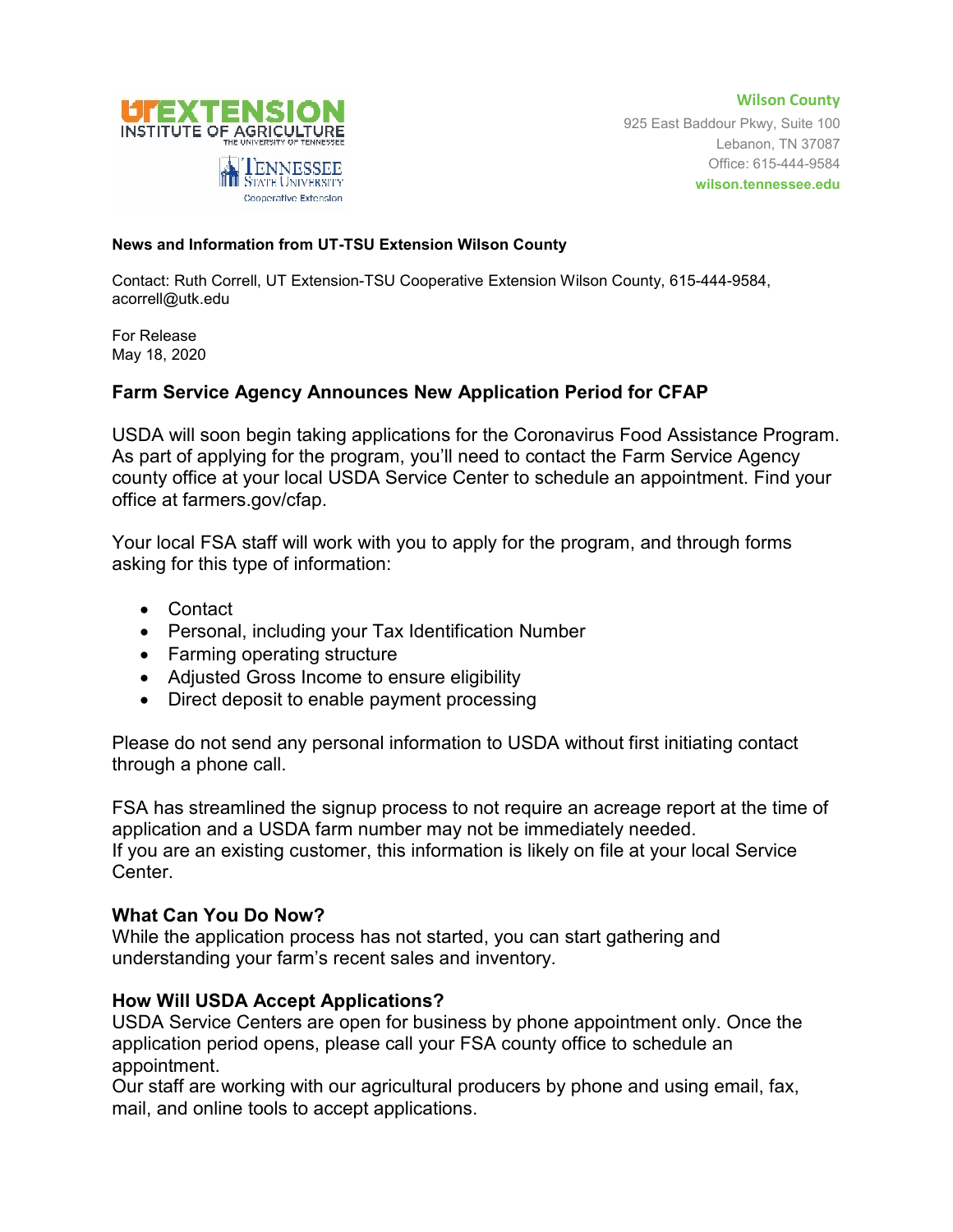

**Wilson County** 925 East Baddour Pkwy, Suite 100 Lebanon, TN 37087 Office: 615-444-9584 **wilson.tennessee.edu**

## **News and Information from UT-TSU Extension Wilson County**

Contact: Ruth Correll, UT Extension-TSU Cooperative Extension Wilson County, 615-444-9584, acorrell@utk.edu

For Release May 18, 2020

## **Farm Service Agency Announces New Application Period for CFAP**

USDA will soon begin taking applications for the Coronavirus Food Assistance Program. As part of applying for the program, you'll need to contact the Farm Service Agency county office at your local USDA Service Center to schedule an appointment. Find your office at farmers.gov/cfap.

Your local FSA staff will work with you to apply for the program, and through forms asking for this type of information:

- Contact
- Personal, including your Tax Identification Number
- Farming operating structure
- Adjusted Gross Income to ensure eligibility
- Direct deposit to enable payment processing

Please do not send any personal information to USDA without first initiating contact through a phone call.

FSA has streamlined the signup process to not require an acreage report at the time of application and a USDA farm number may not be immediately needed. If you are an existing customer, this information is likely on file at your local Service Center.

## **What Can You Do Now?**

While the application process has not started, you can start gathering and understanding your farm's recent sales and inventory.

## **How Will USDA Accept Applications?**

USDA Service Centers are open for business by phone appointment only. Once the application period opens, please call your FSA county office to schedule an appointment.

Our staff are working with our agricultural producers by phone and using email, fax, mail, and online tools to accept applications.